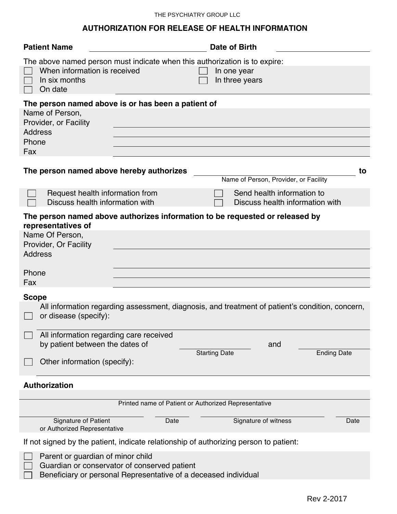## **AUTHORIZATION FOR RELEASE OF HEALTH INFORMATION**

| <b>Patient Name</b>                                                              |                                                                                                                 | Date of Birth                         |                                                               |
|----------------------------------------------------------------------------------|-----------------------------------------------------------------------------------------------------------------|---------------------------------------|---------------------------------------------------------------|
| When information is received<br>In six months<br>On date                         | The above named person must indicate when this authorization is to expire:                                      | In one year<br>In three years         |                                                               |
|                                                                                  | The person named above is or has been a patient of                                                              |                                       |                                                               |
| Name of Person,<br>Provider, or Facility<br><b>Address</b><br>Phone<br>Fax       |                                                                                                                 |                                       |                                                               |
| The person named above hereby authorizes                                         |                                                                                                                 | Name of Person, Provider, or Facility | to                                                            |
| Request health information from<br>Discuss health information with               |                                                                                                                 |                                       | Send health information to<br>Discuss health information with |
| representatives of<br>Name Of Person,<br>Provider, Or Facility<br><b>Address</b> | The person named above authorizes information to be requested or released by                                    |                                       |                                                               |
| Phone<br>Fax                                                                     |                                                                                                                 |                                       |                                                               |
|                                                                                  |                                                                                                                 |                                       |                                                               |
| <b>Scope</b><br>or disease (specify):                                            | All information regarding assessment, diagnosis, and treatment of patient's condition, concern,                 |                                       |                                                               |
| All information regarding care received                                          |                                                                                                                 |                                       |                                                               |
| by patient between the dates of                                                  |                                                                                                                 | and                                   |                                                               |
| Other information (specify):                                                     |                                                                                                                 | <b>Starting Date</b>                  | <b>Ending Date</b>                                            |
| <b>Authorization</b>                                                             |                                                                                                                 |                                       |                                                               |
|                                                                                  | Printed name of Patient or Authorized Representative                                                            |                                       |                                                               |
| Signature of Patient<br>or Authorized Representative                             | Date                                                                                                            | Signature of witness                  | Date                                                          |
|                                                                                  | If not signed by the patient, indicate relationship of authorizing person to patient:                           |                                       |                                                               |
| Parent or guardian of minor child                                                | Guardian or conservator of conserved patient<br>Beneficiary or personal Representative of a deceased individual |                                       |                                                               |